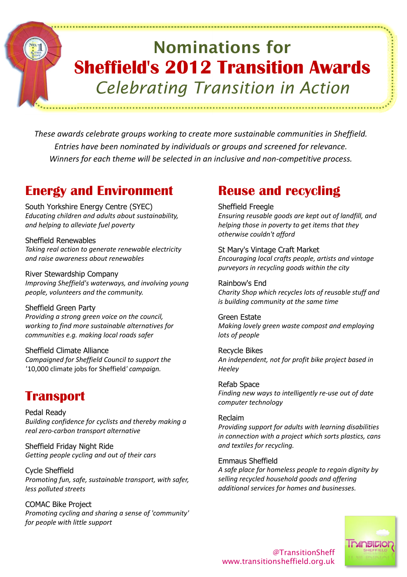# Nominations for Sheffield's 2012 Transition Awards Celebrating Transition in Action

These awards celebrate groups working to create more sustainable communities in Sheffield. Entries have been nominated by individuals or groups and screened for relevance. Winners for each theme will be selected in an inclusive and non-competitive process.

# Energy and Environment

South Yorkshire Energy Centre (SYEC) Educating children and adults about sustainability, and helping to alleviate fuel poverty

Sheffield Renewables Taking real action to generate renewable electricity and raise awareness about renewables

River Stewardship Company Improving Sheffield's waterways, and involving young people, volunteers and the community.

Sheffield Green Party Providing a strong green voice on the council, working to find more sustainable alternatives for communities e.g. making local roads safer

Sheffield Climate Alliance Campaigned for Sheffield Council to support the '10,000 climate jobs for Sheffield' campaign.

# **Transport**

Pedal Ready Building confidence for cyclists and thereby making a real zero-carbon transport alternative

Sheffield Friday Night Ride Getting people cycling and out of their cars

Cycle Sheffield Promoting fun, safe, sustainable transport, with safer, less polluted streets

COMAC Bike Project Promoting cycling and sharing a sense of 'community' for people with little support

# Reuse and recycling

#### Sheffield Freegle

Ensuring reusable goods are kept out of landfill, and helping those in poverty to get items that they otherwise couldn't afford

St Mary's Vintage Craft Market Encouraging local crafts people, artists and vintage purveyors in recycling goods within the city

Rainbow's End Charity Shop which recycles lots of reusable stuff and is building community at the same time

Green Estate Making lovely green waste compost and employing lots of people

Recycle Bikes An independent, not for profit bike project based in Heeley

Refab Space Finding new ways to intelligently re-use out of date computer technology

# Reclaim

Providing support for adults with learning disabilities in connection with a project which sorts plastics, cans and textiles for recycling.

Emmaus Sheffield

A safe place for homeless people to regain dignity by selling recycled household goods and offering additional services for homes and businesses.

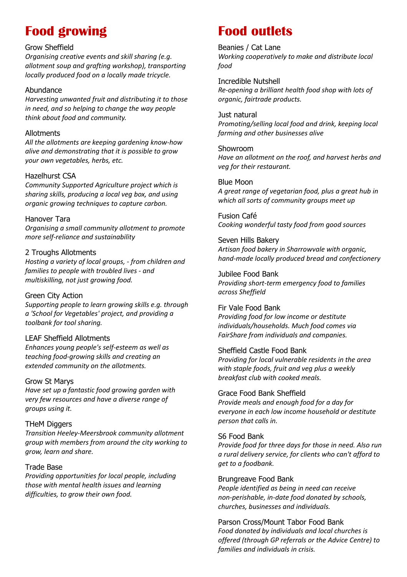# Food growing

#### Grow Sheffield

Organising creative events and skill sharing (e.g. allotment soup and grafting workshop), transporting locally produced food on a locally made tricycle.

# Abundance

Harvesting unwanted fruit and distributing it to those in need, and so helping to change the way people think about food and community.

### Allotments

All the allotments are keeping gardening know-how alive and demonstrating that it is possible to grow your own vegetables, herbs, etc.

# Hazelhurst CSA

Community Supported Agriculture project which is sharing skills, producing a local veg box, and using organic growing techniques to capture carbon.

# Hanover Tara

Organising a small community allotment to promote more self-reliance and sustainability

# 2 Troughs Allotments

Hosting a variety of local groups, - from children and families to people with troubled lives - and multiskilling, not just growing food.

# Green City Action

Supporting people to learn growing skills e.g. through a 'School for Vegetables' project, and providing a toolbank for tool sharing.

# LEAF Sheffield Allotments

Enhances young people's self-esteem as well as teaching food-growing skills and creating an extended community on the allotments.

# Grow St Marys

Have set up a fantastic food growing garden with very few resources and have a diverse range of groups using it.

# THeM Diggers

Transition Heeley-Meersbrook community allotment group with members from around the city working to grow, learn and share.

# Trade Base

Providing opportunities for local people, including those with mental health issues and learning difficulties, to grow their own food.

# Food outlets

#### Beanies / Cat Lane Working cooperatively to make and distribute local food

Incredible Nutshell Re-opening a brilliant health food shop with lots of organic, fairtrade products.

#### Just natural Promoting/selling local food and drink, keeping local farming and other businesses alive

Showroom Have an allotment on the roof, and harvest herbs and veg for their restaurant.

### Blue Moon

A great range of vegetarian food, plus a great hub in which all sorts of community groups meet up

Fusion Café Cooking wonderful tasty food from good sources

Seven Hills Bakery Artisan food bakery in Sharrowvale with organic, hand-made locally produced bread and confectionery

Jubilee Food Bank Providing short-term emergency food to families across Sheffield

Fir Vale Food Bank Providing food for low income or destitute individuals/households. Much food comes via FairShare from individuals and companies.

# Sheffield Castle Food Bank

Providing for local vulnerable residents in the area with staple foods, fruit and veg plus a weekly breakfast club with cooked meals.

# Grace Food Bank Sheffield

Provide meals and enough food for a day for everyone in each low income household or destitute person that calls in.

# S6 Food Bank

Provide food for three days for those in need. Also run a rural delivery service, for clients who can't afford to get to a foodbank.

#### Brungreave Food Bank

People identified as being in need can receive non-perishable, in-date food donated by schools, churches, businesses and individuals.

Parson Cross/Mount Tabor Food Bank Food donated by individuals and local churches is offered (through GP referrals or the Advice Centre) to families and individuals in crisis.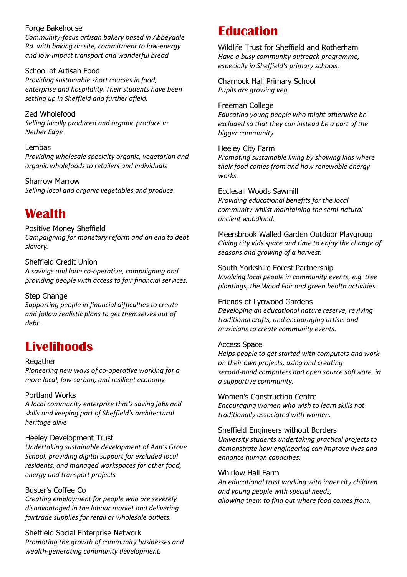#### Forge Bakehouse

Community-focus artisan bakery based in Abbeydale Rd. with baking on site, commitment to low-energy and low-impact transport and wonderful bread

# School of Artisan Food

Providing sustainable short courses in food, enterprise and hospitality. Their students have been setting up in Sheffield and further afield.

Zed Wholefood Selling locally produced and organic produce in Nether Edge

#### Lembas

Providing wholesale specialty organic, vegetarian and organic wholefoods to retailers and individuals

Sharrow Marrow Selling local and organic vegetables and produce

# Wealth

# Positive Money Sheffield

Campaigning for monetary reform and an end to debt slavery.

#### Sheffield Credit Union

A savings and loan co-operative, campaigning and providing people with access to fair financial services.

#### Step Change

Supporting people in financial difficulties to create and follow realistic plans to get themselves out of debt.

# **Livelihoods**

#### Regather

Pioneering new ways of co-operative working for a more local, low carbon, and resilient economy.

#### Portland Works

A local community enterprise that's saving jobs and skills and keeping part of Sheffield's architectural heritage alive

#### Heeley Development Trust

Undertaking sustainable development of Ann's Grove School, providing digital support for excluded local residents, and managed workspaces for other food, energy and transport projects

#### Buster's Coffee Co

Creating employment for people who are severely disadvantaged in the labour market and delivering fairtrade supplies for retail or wholesale outlets.

Sheffield Social Enterprise Network Promoting the growth of community businesses and wealth-generating community development.

# Education

Wildlife Trust for Sheffield and Rotherham Have a busy community outreach programme, especially in Sheffield's primary schools.

Charnock Hall Primary School Pupils are growing veg

Freeman College Educating young people who might otherwise be excluded so that they can instead be a part of the bigger community.

#### Heeley City Farm

Promoting sustainable living by showing kids where their food comes from and how renewable energy works.

#### Ecclesall Woods Sawmill

Providing educational benefits for the local community whilst maintaining the semi-natural ancient woodland.

Meersbrook Walled Garden Outdoor Playgroup Giving city kids space and time to enjoy the change of seasons and growing of a harvest.

South Yorkshire Forest Partnership Involving local people in community events, e.g. tree plantings, the Wood Fair and green health activities.

#### Friends of Lynwood Gardens

Developing an educational nature reserve, reviving traditional crafts, and encouraging artists and musicians to create community events.

#### Access Space

Helps people to get started with computers and work on their own projects, using and creating second-hand computers and open source software, in a supportive community.

Women's Construction Centre Encouraging women who wish to learn skills not traditionally associated with women.

#### Sheffield Engineers without Borders

University students undertaking practical projects to demonstrate how engineering can improve lives and enhance human capacities.

#### Whirlow Hall Farm

An educational trust working with inner city children and young people with special needs, allowing them to find out where food comes from.